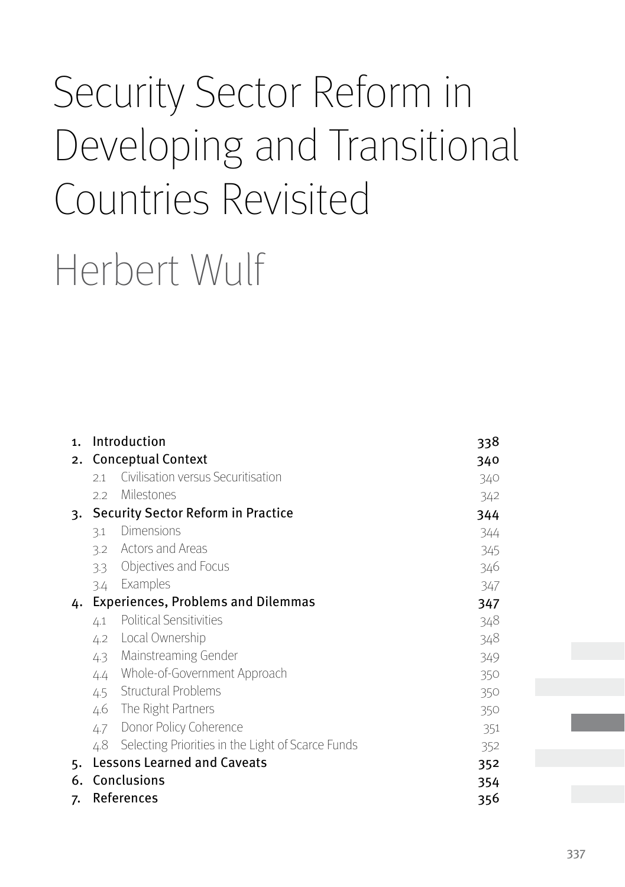# Security Sector Reform in Developing and Transitional Countries Revisited

Herbert Wulf

| 1. | Introduction                              | 338                                               |     |  |  |  |
|----|-------------------------------------------|---------------------------------------------------|-----|--|--|--|
| 2. | <b>Conceptual Context</b>                 | 340                                               |     |  |  |  |
|    | 2.1                                       | Civilisation versus Securitisation                | 340 |  |  |  |
|    | 2.2                                       | Milestones                                        | 342 |  |  |  |
| 3. |                                           | <b>Security Sector Reform in Practice</b>         | 344 |  |  |  |
|    | 3.1                                       | Dimensions                                        | 344 |  |  |  |
|    | 3.2                                       | <b>Actors and Areas</b>                           | 345 |  |  |  |
|    | 3.3                                       | Objectives and Focus                              | 346 |  |  |  |
|    | 3.4                                       | Examples                                          | 347 |  |  |  |
| 4. | <b>Experiences, Problems and Dilemmas</b> | 347                                               |     |  |  |  |
|    | 4.1                                       | <b>Political Sensitivities</b>                    | 348 |  |  |  |
|    | 4.2                                       | Local Ownership                                   | 348 |  |  |  |
|    | 4.3                                       | Mainstreaming Gender                              | 349 |  |  |  |
|    | 4.4                                       | Whole-of-Government Approach                      | 350 |  |  |  |
|    |                                           | 4.5 Structural Problems                           | 350 |  |  |  |
|    | 4.6                                       | The Right Partners                                | 350 |  |  |  |
|    | 4.7                                       | Donor Policy Coherence                            | 351 |  |  |  |
|    | 4.8                                       | Selecting Priorities in the Light of Scarce Funds | 352 |  |  |  |
| 5. |                                           | <b>Lessons Learned and Caveats</b><br>352         |     |  |  |  |
| 6. |                                           | Conclusions<br>354                                |     |  |  |  |
| 7. | References<br>356                         |                                                   |     |  |  |  |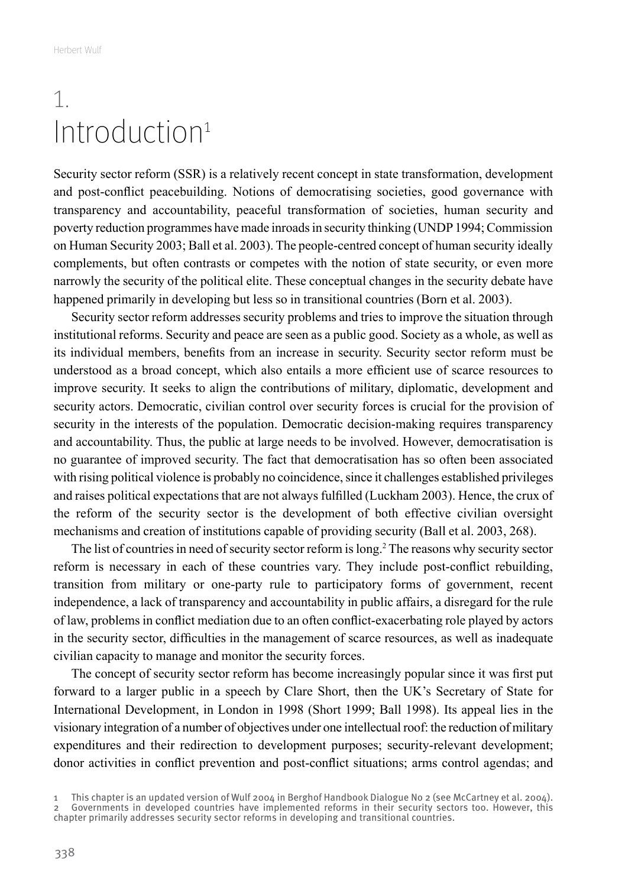### <span id="page-1-0"></span>1. Introduction<sup>1</sup>

Security sector reform (SSR) is a relatively recent concept in state transformation, development and post-conflict peacebuilding. Notions of democratising societies, good governance with transparency and accountability, peaceful transformation of societies, human security and poverty reduction programmes have made inroads in security thinking (UNDP 1994; Commission on Human Security 2003; Ball et al. 2003). The people-centred concept of human security ideally complements, but often contrasts or competes with the notion of state security, or even more narrowly the security of the political elite. These conceptual changes in the security debate have happened primarily in developing but less so in transitional countries (Born et al. 2003).

Security sector reform addresses security problems and tries to improve the situation through institutional reforms. Security and peace are seen as a public good. Society as a whole, as well as its individual members, benefits from an increase in security. Security sector reform must be understood as a broad concept, which also entails a more efficient use of scarce resources to improve security. It seeks to align the contributions of military, diplomatic, development and security actors. Democratic, civilian control over security forces is crucial for the provision of security in the interests of the population. Democratic decision-making requires transparency and accountability. Thus, the public at large needs to be involved. However, democratisation is no guarantee of improved security. The fact that democratisation has so often been associated with rising political violence is probably no coincidence, since it challenges established privileges and raises political expectations that are not always fulfilled (Luckham 2003). Hence, the crux of the reform of the security sector is the development of both effective civilian oversight mechanisms and creation of institutions capable of providing security (Ball et al. 2003, 268).

The list of countries in need of security sector reform is long.2 The reasons why security sector reform is necessary in each of these countries vary. They include post-conflict rebuilding, transition from military or one-party rule to participatory forms of government, recent independence, a lack of transparency and accountability in public affairs, a disregard for the rule of law, problems in conflict mediation due to an often conflict-exacerbating role played by actors in the security sector, difficulties in the management of scarce resources, as well as inadequate civilian capacity to manage and monitor the security forces.

The concept of security sector reform has become increasingly popular since it was first put forward to a larger public in a speech by Clare Short, then the UK's Secretary of State for International Development, in London in 1998 (Short 1999; Ball 1998). Its appeal lies in the visionary integration of a number of objectives under one intellectual roof: the reduction of military expenditures and their redirection to development purposes; security-relevant development; donor activities in conflict prevention and post-conflict situations; arms control agendas; and

<sup>1</sup> This chapter is an updated version of Wulf 2004 in Berghof Handbook Dialogue No 2 (see McCartney et al. 2004). 2 Governments in developed countries have implemented reforms in their security sectors too. However, this chapter primarily addresses security sector reforms in developing and transitional countries.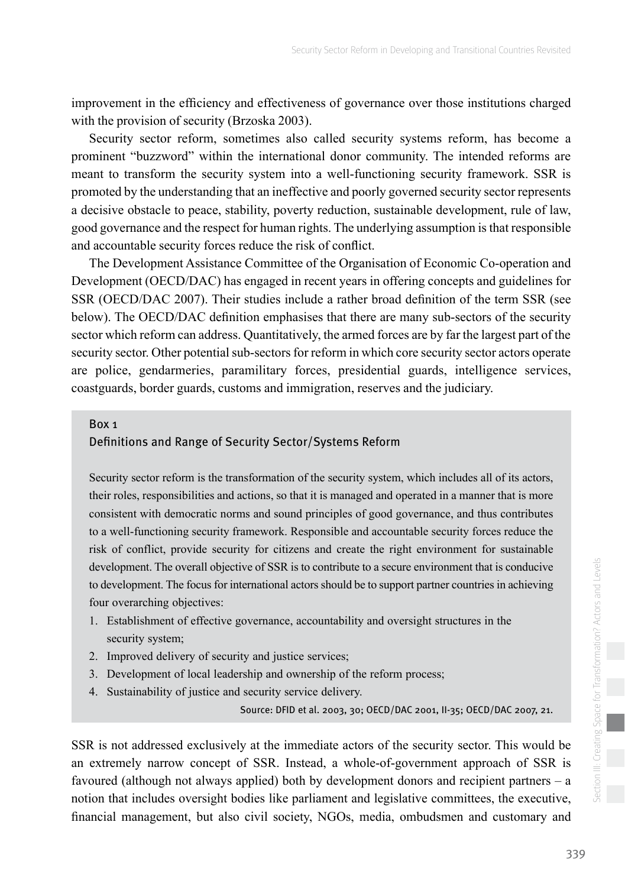improvement in the efficiency and effectiveness of governance over those institutions charged with the provision of security (Brzoska 2003).

Security sector reform, sometimes also called security systems reform, has become a prominent "buzzword" within the international donor community. The intended reforms are meant to transform the security system into a well-functioning security framework. SSR is promoted by the understanding that an ineffective and poorly governed security sector represents a decisive obstacle to peace, stability, poverty reduction, sustainable development, rule of law, good governance and the respect for human rights. The underlying assumption is that responsible and accountable security forces reduce the risk of conflict.

The Development Assistance Committee of the Organisation of Economic Co-operation and Development (OECD/DAC) has engaged in recent years in offering concepts and guidelines for SSR (OECD/DAC 2007). Their studies include a rather broad definition of the term SSR (see below). The OECD/DAC definition emphasises that there are many sub-sectors of the security sector which reform can address. Quantitatively, the armed forces are by far the largest part of the security sector. Other potential sub-sectors for reform in which core security sector actors operate are police, gendarmeries, paramilitary forces, presidential guards, intelligence services, coastguards, border guards, customs and immigration, reserves and the judiciary.

#### Box 1

#### Definitions and Range of Security Sector/Systems Reform

Security sector reform is the transformation of the security system, which includes all of its actors, their roles, responsibilities and actions, so that it is managed and operated in a manner that is more consistent with democratic norms and sound principles of good governance, and thus contributes to a well-functioning security framework. Responsible and accountable security forces reduce the risk of conflict, provide security for citizens and create the right environment for sustainable development. The overall objective of SSR is to contribute to a secure environment that is conducive to development. The focus for international actors should be to support partner countries in achieving four overarching objectives:

- 1. Establishment of effective governance, accountability and oversight structures in the security system;
- 2. Improved delivery of security and justice services;
- 3. Development of local leadership and ownership of the reform process;
- 4. Sustainability of justice and security service delivery.

Source: DFID et al. 2003, 30; OECD/DAC 2001, II-35; OECD/DAC 2007, 21.

SSR is not addressed exclusively at the immediate actors of the security sector. This would be an extremely narrow concept of SSR. Instead, a whole-of-government approach of SSR is favoured (although not always applied) both by development donors and recipient partners – a notion that includes oversight bodies like parliament and legislative committees, the executive, financial management, but also civil society, NGOs, media, ombudsmen and customary and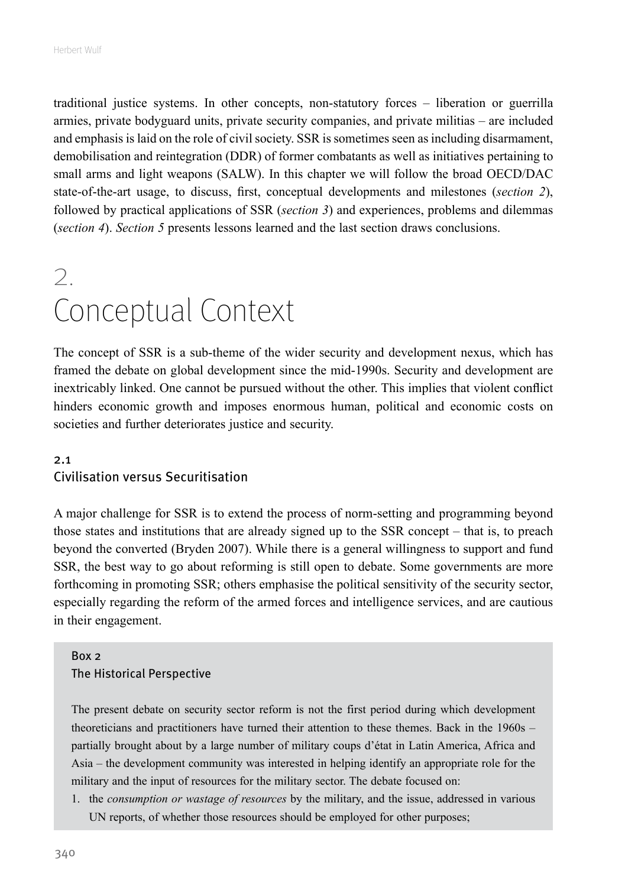<span id="page-3-0"></span>traditional justice systems. In other concepts, non-statutory forces – liberation or guerrilla armies, private bodyguard units, private security companies, and private militias – are included and emphasis is laid on the role of civil society. SSR is sometimes seen as including disarmament, demobilisation and reintegration (DDR) of former combatants as well as initiatives pertaining to small arms and light weapons (SALW). In this chapter we will follow the broad OECD/DAC state-of-the-art usage, to discuss, first, conceptual developments and milestones (*section 2*), followed by practical applications of SSR (*section 3*) and experiences, problems and dilemmas (*section 4*). *Section 5* presents lessons learned and the last section draws conclusions.

# 2. Conceptual Context

The concept of SSR is a sub-theme of the wider security and development nexus, which has framed the debate on global development since the mid-1990s. Security and development are inextricably linked. One cannot be pursued without the other. This implies that violent conflict hinders economic growth and imposes enormous human, political and economic costs on societies and further deteriorates justice and security.

#### 2.1 Civilisation versus Securitisation

A major challenge for SSR is to extend the process of norm-setting and programming beyond those states and institutions that are already signed up to the SSR concept – that is, to preach beyond the converted (Bryden 2007). While there is a general willingness to support and fund SSR, the best way to go about reforming is still open to debate. Some governments are more forthcoming in promoting SSR; others emphasise the political sensitivity of the security sector, especially regarding the reform of the armed forces and intelligence services, and are cautious in their engagement.

#### Box 2

#### The Historical Perspective

The present debate on security sector reform is not the first period during which development theoreticians and practitioners have turned their attention to these themes. Back in the 1960s – partially brought about by a large number of military coups d'état in Latin America, Africa and Asia – the development community was interested in helping identify an appropriate role for the military and the input of resources for the military sector. The debate focused on:

1. the *consumption or wastage of resources* by the military, and the issue, addressed in various UN reports, of whether those resources should be employed for other purposes;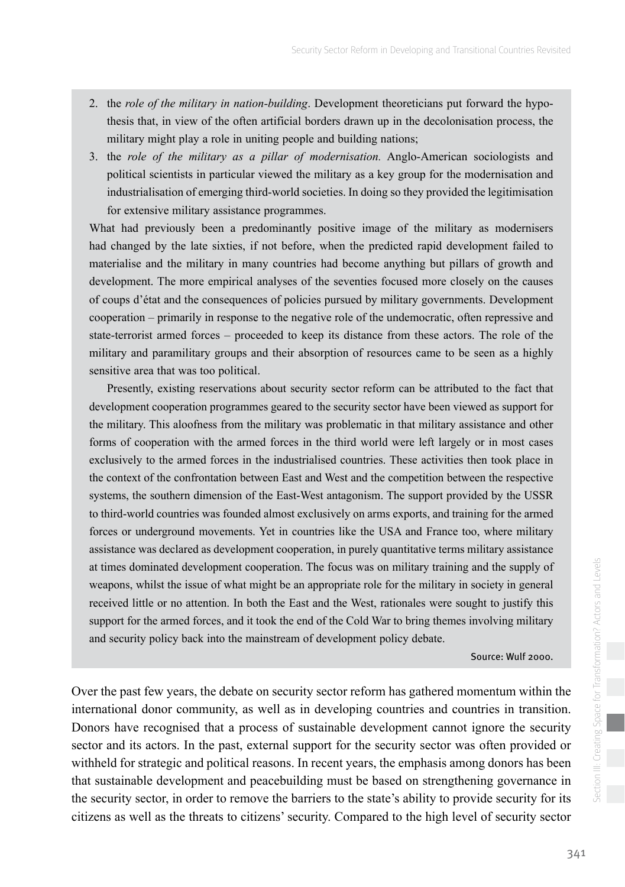- 2. the *role of the military in nation-building*. Development theoreticians put forward the hypothesis that, in view of the often artificial borders drawn up in the decolonisation process, the military might play a role in uniting people and building nations;
- 3. the *role of the military as a pillar of modernisation.* Anglo-American sociologists and political scientists in particular viewed the military as a key group for the modernisation and industrialisation of emerging third-world societies. In doing so they provided the legitimisation for extensive military assistance programmes.

What had previously been a predominantly positive image of the military as modernisers had changed by the late sixties, if not before, when the predicted rapid development failed to materialise and the military in many countries had become anything but pillars of growth and development. The more empirical analyses of the seventies focused more closely on the causes of coups d'état and the consequences of policies pursued by military governments. Development cooperation – primarily in response to the negative role of the undemocratic, often repressive and state-terrorist armed forces – proceeded to keep its distance from these actors. The role of the military and paramilitary groups and their absorption of resources came to be seen as a highly sensitive area that was too political.

Presently, existing reservations about security sector reform can be attributed to the fact that development cooperation programmes geared to the security sector have been viewed as support for the military. This aloofness from the military was problematic in that military assistance and other forms of cooperation with the armed forces in the third world were left largely or in most cases exclusively to the armed forces in the industrialised countries. These activities then took place in the context of the confrontation between East and West and the competition between the respective systems, the southern dimension of the East-West antagonism. The support provided by the USSR to third-world countries was founded almost exclusively on arms exports, and training for the armed forces or underground movements. Yet in countries like the USA and France too, where military assistance was declared as development cooperation, in purely quantitative terms military assistance at times dominated development cooperation. The focus was on military training and the supply of weapons, whilst the issue of what might be an appropriate role for the military in society in general received little or no attention. In both the East and the West, rationales were sought to justify this support for the armed forces, and it took the end of the Cold War to bring themes involving military and security policy back into the mainstream of development policy debate.

Source: Wulf 2000.

Over the past few years, the debate on security sector reform has gathered momentum within the international donor community, as well as in developing countries and countries in transition. Donors have recognised that a process of sustainable development cannot ignore the security sector and its actors. In the past, external support for the security sector was often provided or withheld for strategic and political reasons. In recent years, the emphasis among donors has been that sustainable development and peacebuilding must be based on strengthening governance in the security sector, in order to remove the barriers to the state's ability to provide security for its citizens as well as the threats to citizens' security. Compared to the high level of security sector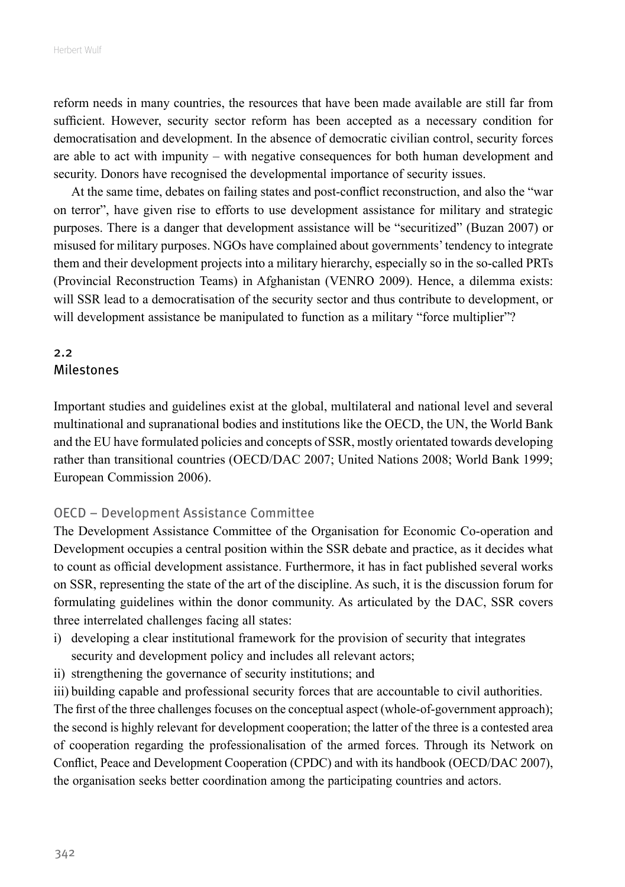<span id="page-5-0"></span>reform needs in many countries, the resources that have been made available are still far from sufficient. However, security sector reform has been accepted as a necessary condition for democratisation and development. In the absence of democratic civilian control, security forces are able to act with impunity – with negative consequences for both human development and security. Donors have recognised the developmental importance of security issues.

At the same time, debates on failing states and post-conflict reconstruction, and also the "war on terror", have given rise to efforts to use development assistance for military and strategic purposes. There is a danger that development assistance will be "securitized" (Buzan 2007) or misused for military purposes. NGOs have complained about governments' tendency to integrate them and their development projects into a military hierarchy, especially so in the so-called PRTs (Provincial Reconstruction Teams) in Afghanistan (VENRO 2009). Hence, a dilemma exists: will SSR lead to a democratisation of the security sector and thus contribute to development, or will development assistance be manipulated to function as a military "force multiplier"?

#### 2.2 Milestones

Important studies and guidelines exist at the global, multilateral and national level and several multinational and supranational bodies and institutions like the OECD, the UN, the World Bank and the EU have formulated policies and concepts of SSR, mostly orientated towards developing rather than transitional countries (OECD/DAC 2007; United Nations 2008; World Bank 1999; European Commission 2006).

#### OECD – Development Assistance Committee

The Development Assistance Committee of the Organisation for Economic Co-operation and Development occupies a central position within the SSR debate and practice, as it decides what to count as official development assistance. Furthermore, it has in fact published several works on SSR, representing the state of the art of the discipline. As such, it is the discussion forum for formulating guidelines within the donor community. As articulated by the DAC, SSR covers three interrelated challenges facing all states:

- i) developing a clear institutional framework for the provision of security that integrates security and development policy and includes all relevant actors;
- ii) strengthening the governance of security institutions; and

iii) building capable and professional security forces that are accountable to civil authorities.

The first of the three challenges focuses on the conceptual aspect (whole-of-government approach); the second is highly relevant for development cooperation; the latter of the three is a contested area of cooperation regarding the professionalisation of the armed forces. Through its Network on Conflict, Peace and Development Cooperation (CPDC) and with its handbook (OECD/DAC 2007), the organisation seeks better coordination among the participating countries and actors.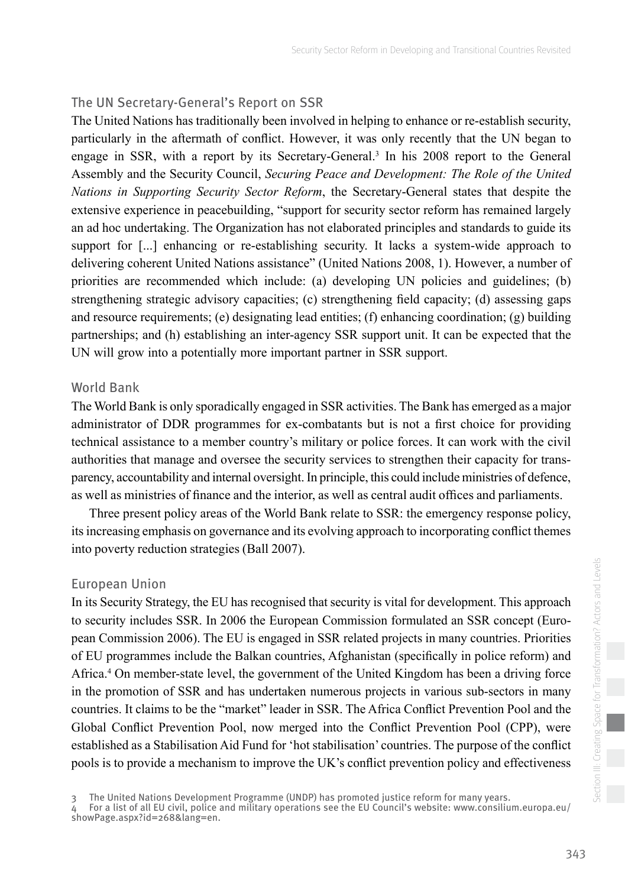#### The UN Secretary-General's Report on SSR

The United Nations has traditionally been involved in helping to enhance or re-establish security, particularly in the aftermath of conflict. However, it was only recently that the UN began to engage in SSR, with a report by its Secretary-General.<sup>3</sup> In his 2008 report to the General Assembly and the Security Council, *Securing Peace and Development: The Role of the United Nations in Supporting Security Sector Reform*, the Secretary-General states that despite the extensive experience in peacebuilding, "support for security sector reform has remained largely an ad hoc undertaking. The Organization has not elaborated principles and standards to guide its support for [...] enhancing or re-establishing security. It lacks a system-wide approach to delivering coherent United Nations assistance" (United Nations 2008, 1). However, a number of priorities are recommended which include: (a) developing UN policies and guidelines; (b) strengthening strategic advisory capacities; (c) strengthening field capacity; (d) assessing gaps and resource requirements; (e) designating lead entities; (f) enhancing coordination; (g) building partnerships; and (h) establishing an inter-agency SSR support unit. It can be expected that the UN will grow into a potentially more important partner in SSR support.

#### World Bank

The World Bank is only sporadically engaged in SSR activities. The Bank has emerged as a major administrator of DDR programmes for ex-combatants but is not a first choice for providing technical assistance to a member country's military or police forces. It can work with the civil authorities that manage and oversee the security services to strengthen their capacity for transparency, accountability and internal oversight. In principle, this could include ministries of defence, as well as ministries of finance and the interior, as well as central audit offices and parliaments.

Three present policy areas of the World Bank relate to SSR: the emergency response policy, its increasing emphasis on governance and its evolving approach to incorporating conflict themes into poverty reduction strategies (Ball 2007).

#### European Union

In its Security Strategy, the EU has recognised that security is vital for development. This approach to security includes SSR. In 2006 the European Commission formulated an SSR concept (European Commission 2006). The EU is engaged in SSR related projects in many countries. Priorities of EU programmes include the Balkan countries, Afghanistan (specifically in police reform) and Africa.4 On member-state level, the government of the United Kingdom has been a driving force in the promotion of SSR and has undertaken numerous projects in various sub-sectors in many countries. It claims to be the "market" leader in SSR. The Africa Conflict Prevention Pool and the Global Conflict Prevention Pool, now merged into the Conflict Prevention Pool (CPP), were established as a Stabilisation Aid Fund for 'hot stabilisation' countries. The purpose of the conflict pools is to provide a mechanism to improve the UK's conflict prevention policy and effectiveness

The United Nations Development Programme (UNDP) has promoted justice reform for many years.

<sup>4</sup> For a list of all EU civil, police and military operations see the EU Council's website: www.consilium.europa.eu/ showPage.aspx?id=268&lang=en.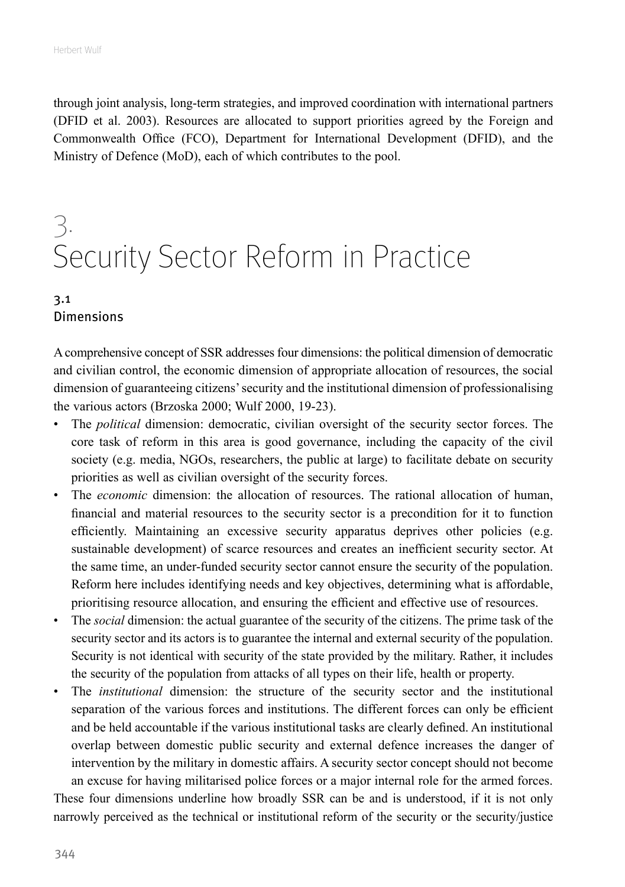<span id="page-7-0"></span>through joint analysis, long-term strategies, and improved coordination with international partners (DFID et al. 2003). Resources are allocated to support priorities agreed by the Foreign and Commonwealth Office (FCO), Department for International Development (DFID), and the Ministry of Defence (MoD), each of which contributes to the pool.

# 3. Security Sector Reform in Practice

#### 3.1 Dimensions

A comprehensive concept of SSR addresses four dimensions: the political dimension of democratic and civilian control, the economic dimension of appropriate allocation of resources, the social dimension of guaranteeing citizens' security and the institutional dimension of professionalising the various actors (Brzoska 2000; Wulf 2000, 19-23).

- The *political* dimension: democratic, civilian oversight of the security sector forces. The core task of reform in this area is good governance, including the capacity of the civil society (e.g. media, NGOs, researchers, the public at large) to facilitate debate on security priorities as well as civilian oversight of the security forces.
- The *economic* dimension: the allocation of resources. The rational allocation of human, financial and material resources to the security sector is a precondition for it to function efficiently. Maintaining an excessive security apparatus deprives other policies (e.g. sustainable development) of scarce resources and creates an inefficient security sector. At the same time, an under-funded security sector cannot ensure the security of the population. Reform here includes identifying needs and key objectives, determining what is affordable, prioritising resource allocation, and ensuring the efficient and effective use of resources.
- The *social* dimension: the actual guarantee of the security of the citizens. The prime task of the security sector and its actors is to guarantee the internal and external security of the population. Security is not identical with security of the state provided by the military. Rather, it includes the security of the population from attacks of all types on their life, health or property.
- The *institutional* dimension: the structure of the security sector and the institutional separation of the various forces and institutions. The different forces can only be efficient and be held accountable if the various institutional tasks are clearly defined. An institutional overlap between domestic public security and external defence increases the danger of intervention by the military in domestic affairs. A security sector concept should not become an excuse for having militarised police forces or a major internal role for the armed forces.

These four dimensions underline how broadly SSR can be and is understood, if it is not only narrowly perceived as the technical or institutional reform of the security or the security/justice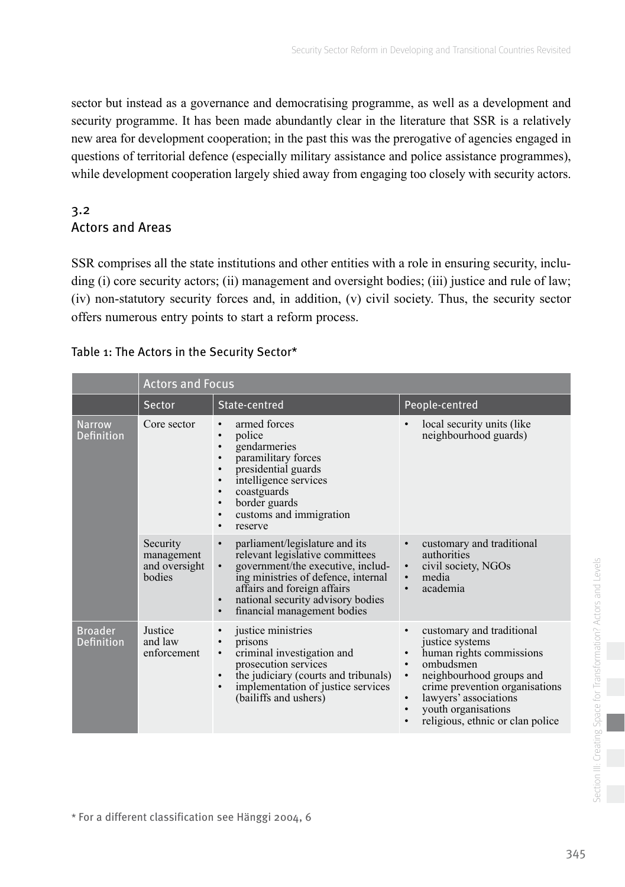<span id="page-8-0"></span>sector but instead as a governance and democratising programme, as well as a development and security programme. It has been made abundantly clear in the literature that SSR is a relatively new area for development cooperation; in the past this was the prerogative of agencies engaged in questions of territorial defence (especially military assistance and police assistance programmes), while development cooperation largely shied away from engaging too closely with security actors.

#### 3.2 Actors and Areas

SSR comprises all the state institutions and other entities with a role in ensuring security, including (i) core security actors; (ii) management and oversight bodies; (iii) justice and rule of law; (iv) non-statutory security forces and, in addition, (v) civil society. Thus, the security sector offers numerous entry points to start a reform process.

|                                     | <b>Actors and Focus</b>                           |                                                                                                                                                                                                                                                                                                      |                                                                                                                                                                                                                                                                                                          |  |
|-------------------------------------|---------------------------------------------------|------------------------------------------------------------------------------------------------------------------------------------------------------------------------------------------------------------------------------------------------------------------------------------------------------|----------------------------------------------------------------------------------------------------------------------------------------------------------------------------------------------------------------------------------------------------------------------------------------------------------|--|
|                                     | <b>Sector</b>                                     | State-centred                                                                                                                                                                                                                                                                                        | People-centred                                                                                                                                                                                                                                                                                           |  |
| <b>Narrow</b><br><b>Definition</b>  | Core sector                                       | armed forces<br>police<br>gendarmeries<br>$\bullet$<br>paramilitary forces<br>presidential guards<br>$\bullet$<br>intelligence services<br>$\bullet$<br>coastguards<br>border guards<br>customs and immigration<br>٠<br>reserve<br>$\bullet$                                                         | local security units (like<br>neighbourhood guards)                                                                                                                                                                                                                                                      |  |
|                                     | Security<br>management<br>and oversight<br>bodies | parliament/legislature and its<br>$\bullet$<br>relevant legislative committees<br>government/the executive, includ-<br>$\bullet$<br>ing ministries of defence, internal<br>affairs and foreign affairs<br>national security advisory bodies<br>$\bullet$<br>financial management bodies<br>$\bullet$ | customary and traditional<br>$\bullet$<br>authorities<br>civil society, NGOs<br>$\bullet$<br>media<br>$\bullet$<br>academia                                                                                                                                                                              |  |
| <b>Broader</b><br><b>Definition</b> | Justice<br>and law<br>enforcement                 | justice ministries<br>prisons<br>criminal investigation and<br>$\bullet$<br>prosecution services<br>the judiciary (courts and tribunals)<br>$\bullet$<br>implementation of justice services<br>$\bullet$<br>(bailiffs and ushers)                                                                    | customary and traditional<br>$\bullet$<br>justice systems<br>human rights commissions<br>ombudsmen<br>neighbourhood groups and<br>$\bullet$<br>crime prevention organisations<br>lawyers' associations<br>$\bullet$<br>youth organisations<br>$\bullet$<br>religious, ethnic or clan police<br>$\bullet$ |  |

#### Table 1: The Actors in the Security Sector\*

\* For a different classification see Hänggi 2004, 6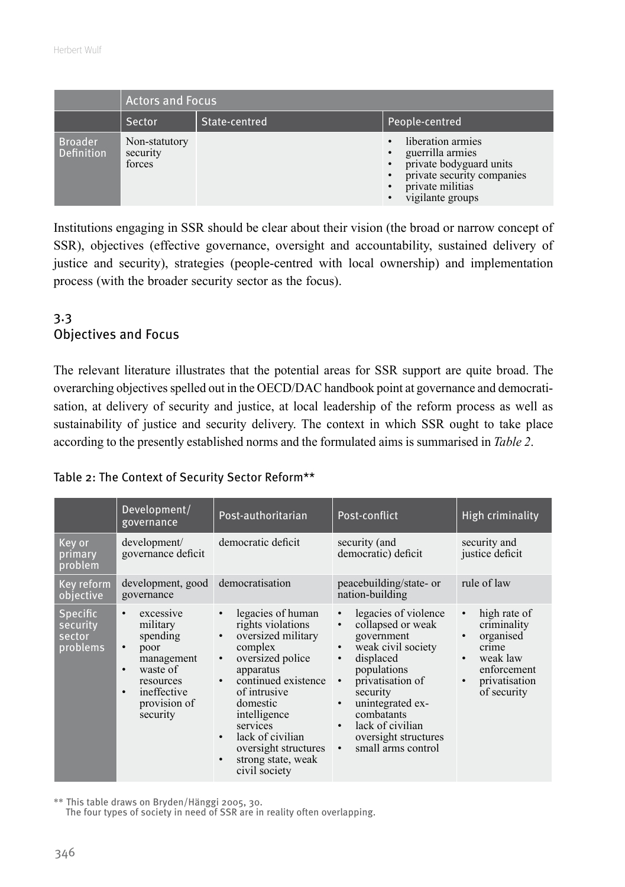<span id="page-9-0"></span>

|                              | <b>Actors and Focus</b>             |               |                                                                                                                                                                                            |  |
|------------------------------|-------------------------------------|---------------|--------------------------------------------------------------------------------------------------------------------------------------------------------------------------------------------|--|
|                              | Sector                              | State-centred | People-centred                                                                                                                                                                             |  |
| <b>Broader</b><br>Definition | Non-statutory<br>security<br>forces |               | liberation armies<br>$\bullet$<br>guerrilla armies<br>$\bullet$<br>private bodyguard units<br>private security companies<br>$\bullet$<br>private militias<br>$\bullet$<br>vigilante groups |  |

Institutions engaging in SSR should be clear about their vision (the broad or narrow concept of SSR), objectives (effective governance, oversight and accountability, sustained delivery of justice and security), strategies (people-centred with local ownership) and implementation process (with the broader security sector as the focus).

#### 3.3 Objectives and Focus

The relevant literature illustrates that the potential areas for SSR support are quite broad. The overarching objectives spelled out in the OECD/DAC handbook point at governance and democratisation, at delivery of security and justice, at local leadership of the reform process as well as sustainability of justice and security delivery. The context in which SSR ought to take place according to the presently established norms and the formulated aims is summarised in *Table 2*.

#### Table 2: The Context of Security Sector Reform\*\*

|                                            | Development/<br>governance                                                                                                                                                      | Post-authoritarian                                                                                                                                                                                                                                                                      | Post-conflict                                                                                                                                                                                                                                                           | <b>High criminality</b>                                                                                                                                          |
|--------------------------------------------|---------------------------------------------------------------------------------------------------------------------------------------------------------------------------------|-----------------------------------------------------------------------------------------------------------------------------------------------------------------------------------------------------------------------------------------------------------------------------------------|-------------------------------------------------------------------------------------------------------------------------------------------------------------------------------------------------------------------------------------------------------------------------|------------------------------------------------------------------------------------------------------------------------------------------------------------------|
| Key or<br>primary<br>problem               | development/<br>governance deficit                                                                                                                                              | democratic deficit                                                                                                                                                                                                                                                                      | security (and<br>democratic) deficit                                                                                                                                                                                                                                    | security and<br>justice deficit                                                                                                                                  |
| Key reform<br>objective                    | development, good<br>governance                                                                                                                                                 | democratisation                                                                                                                                                                                                                                                                         | peacebuilding/state- or<br>nation-building                                                                                                                                                                                                                              | rule of law                                                                                                                                                      |
| Specific<br>security<br>sector<br>problems | excessive<br>$\bullet$<br>military<br>spending<br>poor<br>$\bullet$<br>management<br>waste of<br>$\bullet$<br>resources<br>ineffective<br>$\bullet$<br>provision of<br>security | legacies of human<br>rights violations<br>oversized military<br>complex<br>oversized police<br>$\bullet$<br>apparatus<br>continued existence<br>of intrusive<br>domestic<br>intelligence<br>services<br>lack of civilian<br>oversight structures<br>strong state, weak<br>civil society | legacies of violence<br>collapsed or weak<br>government<br>weak civil society<br>displaced<br>$\bullet$<br>populations<br>privatisation of<br>security<br>unintegrated ex-<br>combatants<br>lack of civilian<br>oversight structures<br>small arms control<br>$\bullet$ | high rate of<br>$\bullet$<br>criminality<br>organised<br>$\bullet$<br>crime<br>weak law<br>$\bullet$<br>enforcement<br>privatisation<br>$\bullet$<br>of security |

\*\* This table draws on Bryden/Hänggi 2005, 30.

The four types of society in need of SSR are in reality often overlapping.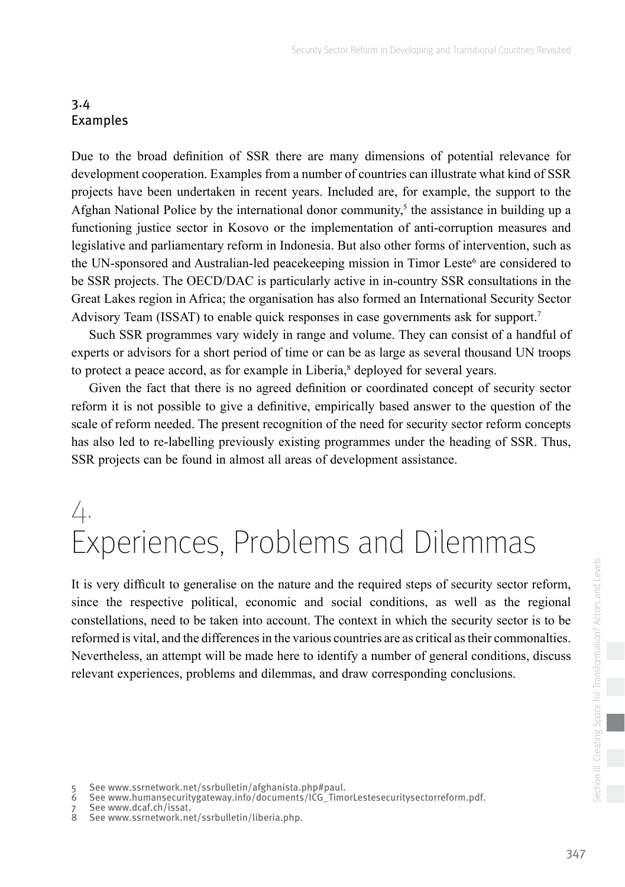#### <span id="page-10-0"></span>3.4 Examples

Due to the broad definition of SSR there are many dimensions of potential relevance for development cooperation. Examples from a number of countries can illustrate what kind of SSR projects have been undertaken in recent years. Included are, for example, the support to the Afghan National Police by the international donor community,<sup>5</sup> the assistance in building up a functioning justice sector in Kosovo or the implementation of anti-corruption measures and legislative and parliamentary reform in Indonesia. But also other forms of intervention, such as the UN-sponsored and Australian-led peacekeeping mission in Timor Leste<sup>6</sup> are considered to be SSR projects. The OECD/DAC is particularly active in in-country SSR consultations in the Great Lakes region in Africa; the organisation has also formed an International Security Sector Advisory Team (ISSAT) to enable quick responses in case governments ask for support.7

Such SSR programmes vary widely in range and volume. They can consist of a handful of experts or advisors for a short period of time or can be as large as several thousand UN troops to protect a peace accord, as for example in Liberia,<sup>8</sup> deployed for several years.

Given the fact that there is no agreed definition or coordinated concept of security sector reform it is not possible to give a definitive, empirically based answer to the question of the scale of reform needed. The present recognition of the need for security sector reform concepts has also led to re-labelling previously existing programmes under the heading of SSR. Thus, SSR projects can be found in almost all areas of development assistance.

## $\perp$ . Experiences, Problems and Dilemmas

It is very difficult to generalise on the nature and the required steps of security sector reform, since the respective political, economic and social conditions, as well as the regional constellations, need to be taken into account. The context in which the security sector is to be reformed is vital, and the differences in the various countries are as critical as their commonalties. Nevertheless, an attempt will be made here to identify a number of general conditions, discuss relevant experiences, problems and dilemmas, and draw corresponding conclusions.

<sup>5</sup> See www.ssrnetwork.net/ssrbulletin/afghanista.php#paul.

<sup>6</sup> See www.humansecuritygateway.info/documents/ICG\_TimorLestesecuritysectorreform.pdf.

<sup>7</sup> See www.dcaf.ch/issat.<br>8 See www.ssrnetwork.ne

See www.ssrnetwork.net/ssrbulletin/liberia.php.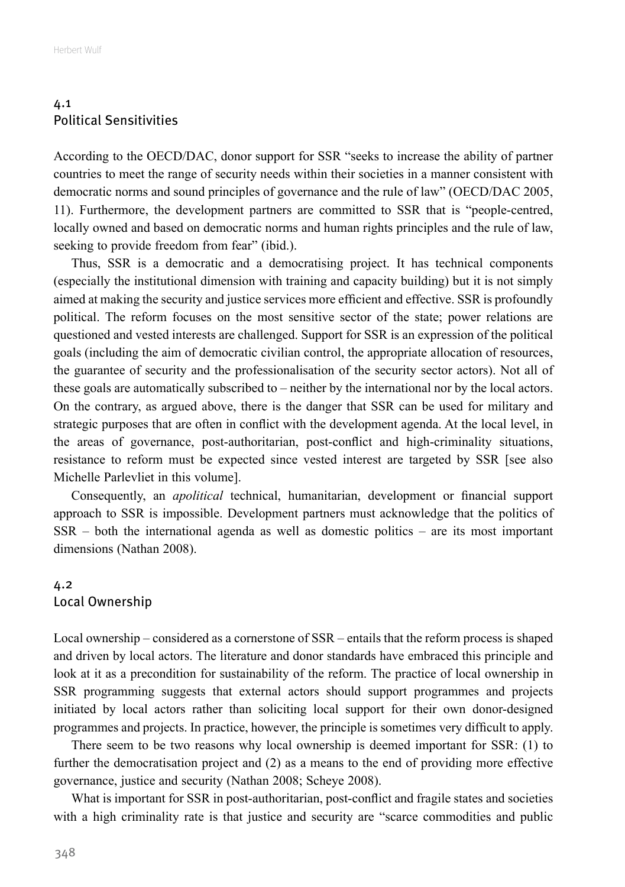#### <span id="page-11-0"></span>4.1 Political Sensitivities

According to the OECD/DAC, donor support for SSR "seeks to increase the ability of partner countries to meet the range of security needs within their societies in a manner consistent with democratic norms and sound principles of governance and the rule of law" (OECD/DAC 2005, 11). Furthermore, the development partners are committed to SSR that is "people-centred, locally owned and based on democratic norms and human rights principles and the rule of law, seeking to provide freedom from fear" (ibid.).

Thus, SSR is a democratic and a democratising project. It has technical components (especially the institutional dimension with training and capacity building) but it is not simply aimed at making the security and justice services more efficient and effective. SSR is profoundly political. The reform focuses on the most sensitive sector of the state; power relations are questioned and vested interests are challenged. Support for SSR is an expression of the political goals (including the aim of democratic civilian control, the appropriate allocation of resources, the guarantee of security and the professionalisation of the security sector actors). Not all of these goals are automatically subscribed to – neither by the international nor by the local actors. On the contrary, as argued above, there is the danger that SSR can be used for military and strategic purposes that are often in conflict with the development agenda. At the local level, in the areas of governance, post-authoritarian, post-conflict and high-criminality situations, resistance to reform must be expected since vested interest are targeted by SSR [see also Michelle Parlevliet in this volume].

Consequently, an *apolitical* technical, humanitarian, development or financial support approach to SSR is impossible. Development partners must acknowledge that the politics of SSR – both the international agenda as well as domestic politics – are its most important dimensions (Nathan 2008).

#### 4.2 Local Ownership

Local ownership – considered as a cornerstone of SSR – entails that the reform process is shaped and driven by local actors. The literature and donor standards have embraced this principle and look at it as a precondition for sustainability of the reform. The practice of local ownership in SSR programming suggests that external actors should support programmes and projects initiated by local actors rather than soliciting local support for their own donor-designed programmes and projects. In practice, however, the principle is sometimes very difficult to apply.

There seem to be two reasons why local ownership is deemed important for SSR: (1) to further the democratisation project and (2) as a means to the end of providing more effective governance, justice and security (Nathan 2008; Scheye 2008).

What is important for SSR in post-authoritarian, post-conflict and fragile states and societies with a high criminality rate is that justice and security are "scarce commodities and public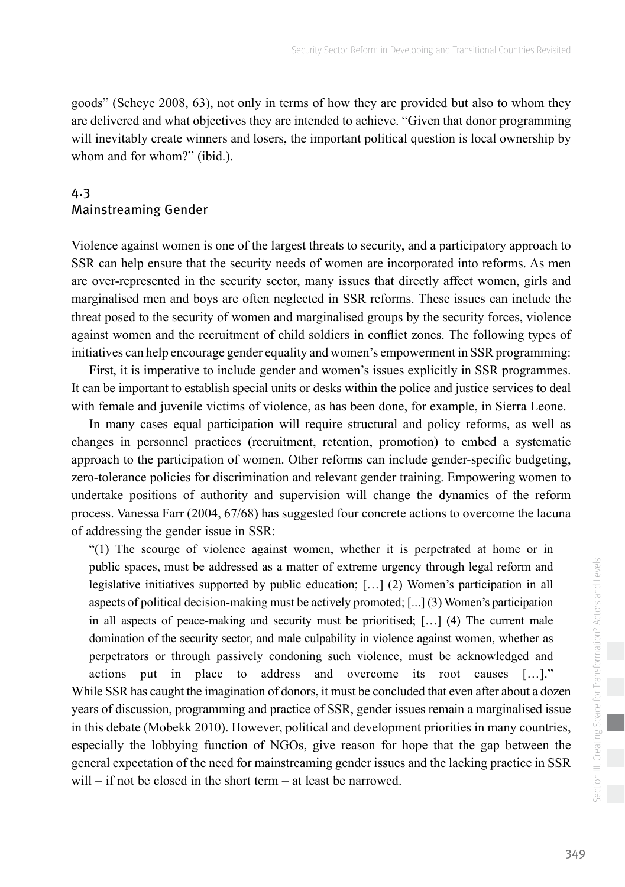<span id="page-12-0"></span>goods" (Scheye 2008, 63), not only in terms of how they are provided but also to whom they are delivered and what objectives they are intended to achieve. "Given that donor programming will inevitably create winners and losers, the important political question is local ownership by whom and for whom?" (ibid.).

#### 4.3 Mainstreaming Gender

Violence against women is one of the largest threats to security, and a participatory approach to SSR can help ensure that the security needs of women are incorporated into reforms. As men are over-represented in the security sector, many issues that directly affect women, girls and marginalised men and boys are often neglected in SSR reforms. These issues can include the threat posed to the security of women and marginalised groups by the security forces, violence against women and the recruitment of child soldiers in conflict zones. The following types of initiatives can help encourage gender equality and women's empowerment in SSR programming:

First, it is imperative to include gender and women's issues explicitly in SSR programmes. It can be important to establish special units or desks within the police and justice services to deal with female and juvenile victims of violence, as has been done, for example, in Sierra Leone.

In many cases equal participation will require structural and policy reforms, as well as changes in personnel practices (recruitment, retention, promotion) to embed a systematic approach to the participation of women. Other reforms can include gender-specific budgeting, zero-tolerance policies for discrimination and relevant gender training. Empowering women to undertake positions of authority and supervision will change the dynamics of the reform process. Vanessa Farr (2004, 67/68) has suggested four concrete actions to overcome the lacuna of addressing the gender issue in SSR:

"(1) The scourge of violence against women, whether it is perpetrated at home or in public spaces, must be addressed as a matter of extreme urgency through legal reform and legislative initiatives supported by public education; […] (2) Women's participation in all aspects of political decision-making must be actively promoted; [...] (3) Women's participation in all aspects of peace-making and security must be prioritised; […] (4) The current male domination of the security sector, and male culpability in violence against women, whether as perpetrators or through passively condoning such violence, must be acknowledged and actions put in place to address and overcome its root causes […]." While SSR has caught the imagination of donors, it must be concluded that even after about a dozen years of discussion, programming and practice of SSR, gender issues remain a marginalised issue in this debate (Mobekk 2010). However, political and development priorities in many countries, especially the lobbying function of NGOs, give reason for hope that the gap between the general expectation of the need for mainstreaming gender issues and the lacking practice in SSR will – if not be closed in the short term – at least be narrowed.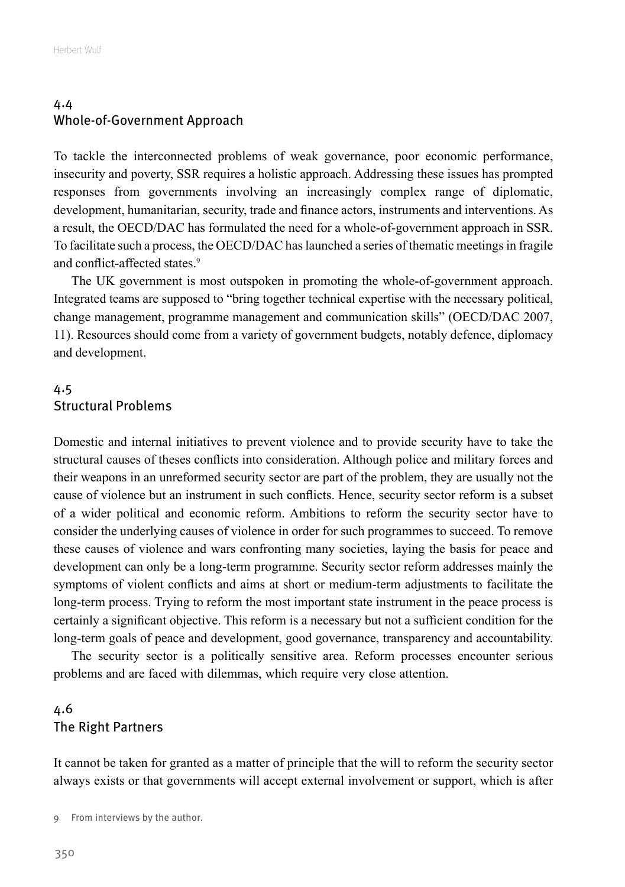#### <span id="page-13-0"></span>4.4 Whole-of-Government Approach

To tackle the interconnected problems of weak governance, poor economic performance, insecurity and poverty, SSR requires a holistic approach. Addressing these issues has prompted responses from governments involving an increasingly complex range of diplomatic, development, humanitarian, security, trade and finance actors, instruments and interventions. As a result, the OECD/DAC has formulated the need for a whole-of-government approach in SSR. To facilitate such a process, the OECD/DAC has launched a series of thematic meetings in fragile and conflict-affected states.<sup>9</sup>

The UK government is most outspoken in promoting the whole-of-government approach. Integrated teams are supposed to "bring together technical expertise with the necessary political, change management, programme management and communication skills" (OECD/DAC 2007, 11). Resources should come from a variety of government budgets, notably defence, diplomacy and development.

#### 4.5 Structural Problems

Domestic and internal initiatives to prevent violence and to provide security have to take the structural causes of theses conflicts into consideration. Although police and military forces and their weapons in an unreformed security sector are part of the problem, they are usually not the cause of violence but an instrument in such conflicts. Hence, security sector reform is a subset of a wider political and economic reform. Ambitions to reform the security sector have to consider the underlying causes of violence in order for such programmes to succeed. To remove these causes of violence and wars confronting many societies, laying the basis for peace and development can only be a long-term programme. Security sector reform addresses mainly the symptoms of violent conflicts and aims at short or medium-term adjustments to facilitate the long-term process. Trying to reform the most important state instrument in the peace process is certainly a significant objective. This reform is a necessary but not a sufficient condition for the long-term goals of peace and development, good governance, transparency and accountability.

The security sector is a politically sensitive area. Reform processes encounter serious problems and are faced with dilemmas, which require very close attention.

#### 4.6 The Right Partners

It cannot be taken for granted as a matter of principle that the will to reform the security sector always exists or that governments will accept external involvement or support, which is after

<sup>9</sup> From interviews by the author.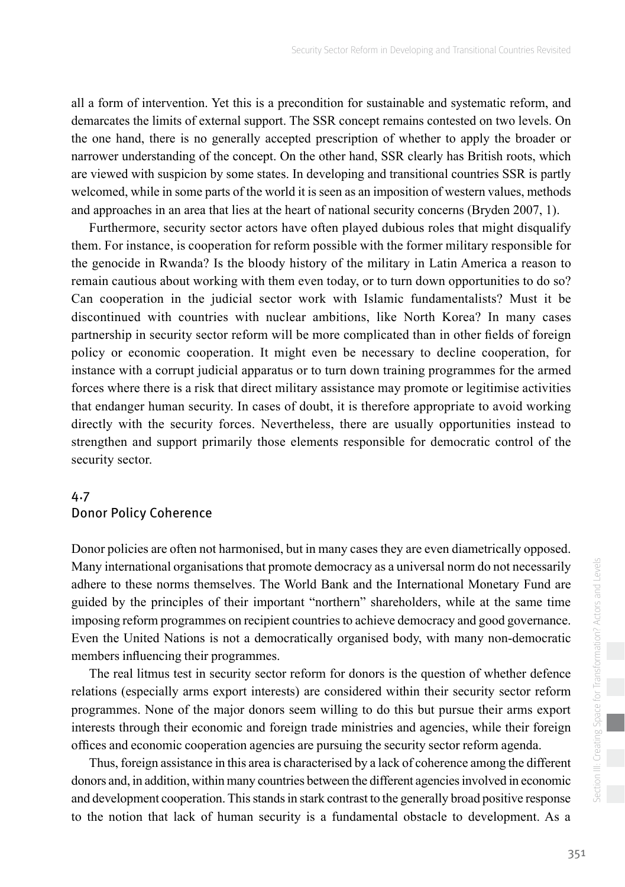<span id="page-14-0"></span>all a form of intervention. Yet this is a precondition for sustainable and systematic reform, and demarcates the limits of external support. The SSR concept remains contested on two levels. On the one hand, there is no generally accepted prescription of whether to apply the broader or narrower understanding of the concept. On the other hand, SSR clearly has British roots, which are viewed with suspicion by some states. In developing and transitional countries SSR is partly welcomed, while in some parts of the world it is seen as an imposition of western values, methods and approaches in an area that lies at the heart of national security concerns (Bryden 2007, 1).

Furthermore, security sector actors have often played dubious roles that might disqualify them. For instance, is cooperation for reform possible with the former military responsible for the genocide in Rwanda? Is the bloody history of the military in Latin America a reason to remain cautious about working with them even today, or to turn down opportunities to do so? Can cooperation in the judicial sector work with Islamic fundamentalists? Must it be discontinued with countries with nuclear ambitions, like North Korea? In many cases partnership in security sector reform will be more complicated than in other fields of foreign policy or economic cooperation. It might even be necessary to decline cooperation, for instance with a corrupt judicial apparatus or to turn down training programmes for the armed forces where there is a risk that direct military assistance may promote or legitimise activities that endanger human security. In cases of doubt, it is therefore appropriate to avoid working directly with the security forces. Nevertheless, there are usually opportunities instead to strengthen and support primarily those elements responsible for democratic control of the security sector.

#### 4.7 Donor Policy Coherence

Donor policies are often not harmonised, but in many cases they are even diametrically opposed. Many international organisations that promote democracy as a universal norm do not necessarily adhere to these norms themselves. The World Bank and the International Monetary Fund are guided by the principles of their important "northern" shareholders, while at the same time imposing reform programmes on recipient countries to achieve democracy and good governance. Even the United Nations is not a democratically organised body, with many non-democratic members influencing their programmes.

The real litmus test in security sector reform for donors is the question of whether defence relations (especially arms export interests) are considered within their security sector reform programmes. None of the major donors seem willing to do this but pursue their arms export interests through their economic and foreign trade ministries and agencies, while their foreign offices and economic cooperation agencies are pursuing the security sector reform agenda.

Thus, foreign assistance in this area is characterised by a lack of coherence among the different donors and, in addition, within many countries between the different agencies involved in economic and development cooperation. This stands in stark contrast to the generally broad positive response to the notion that lack of human security is a fundamental obstacle to development. As a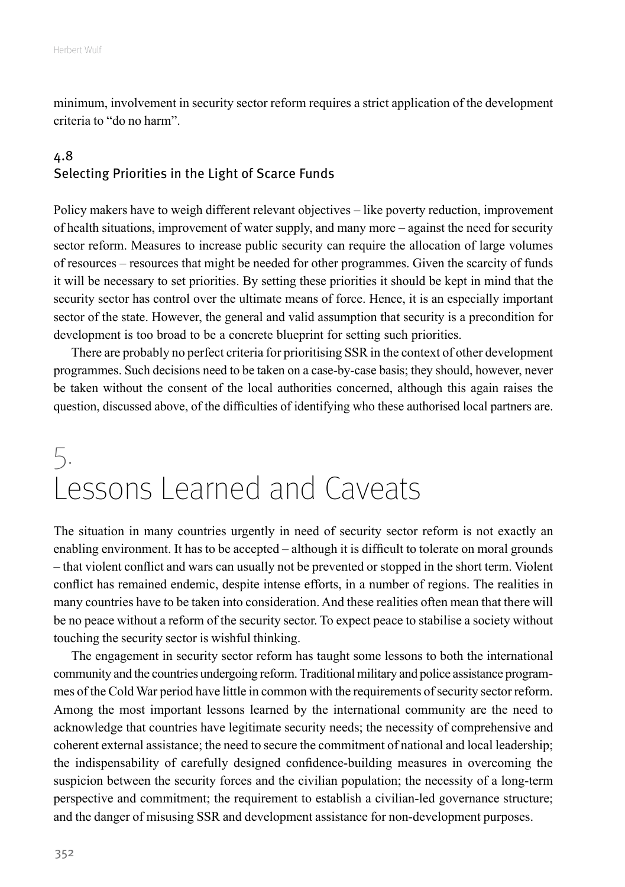<span id="page-15-0"></span>minimum, involvement in security sector reform requires a strict application of the development criteria to "do no harm".

#### 4.8 Selecting Priorities in the Light of Scarce Funds

Policy makers have to weigh different relevant objectives – like poverty reduction, improvement of health situations, improvement of water supply, and many more – against the need for security sector reform. Measures to increase public security can require the allocation of large volumes of resources – resources that might be needed for other programmes. Given the scarcity of funds it will be necessary to set priorities. By setting these priorities it should be kept in mind that the security sector has control over the ultimate means of force. Hence, it is an especially important sector of the state. However, the general and valid assumption that security is a precondition for development is too broad to be a concrete blueprint for setting such priorities.

There are probably no perfect criteria for prioritising SSR in the context of other development programmes. Such decisions need to be taken on a case-by-case basis; they should, however, never be taken without the consent of the local authorities concerned, although this again raises the question, discussed above, of the difficulties of identifying who these authorised local partners are.

# 5. Lessons Learned and Caveats

The situation in many countries urgently in need of security sector reform is not exactly an enabling environment. It has to be accepted – although it is difficult to tolerate on moral grounds – that violent conflict and wars can usually not be prevented or stopped in the short term. Violent conflict has remained endemic, despite intense efforts, in a number of regions. The realities in many countries have to be taken into consideration. And these realities often mean that there will be no peace without a reform of the security sector. To expect peace to stabilise a society without touching the security sector is wishful thinking.

The engagement in security sector reform has taught some lessons to both the international community and the countries undergoing reform. Traditional military and police assistance programmes of the Cold War period have little in common with the requirements of security sector reform. Among the most important lessons learned by the international community are the need to acknowledge that countries have legitimate security needs; the necessity of comprehensive and coherent external assistance; the need to secure the commitment of national and local leadership; the indispensability of carefully designed confidence-building measures in overcoming the suspicion between the security forces and the civilian population; the necessity of a long-term perspective and commitment; the requirement to establish a civilian-led governance structure; and the danger of misusing SSR and development assistance for non-development purposes.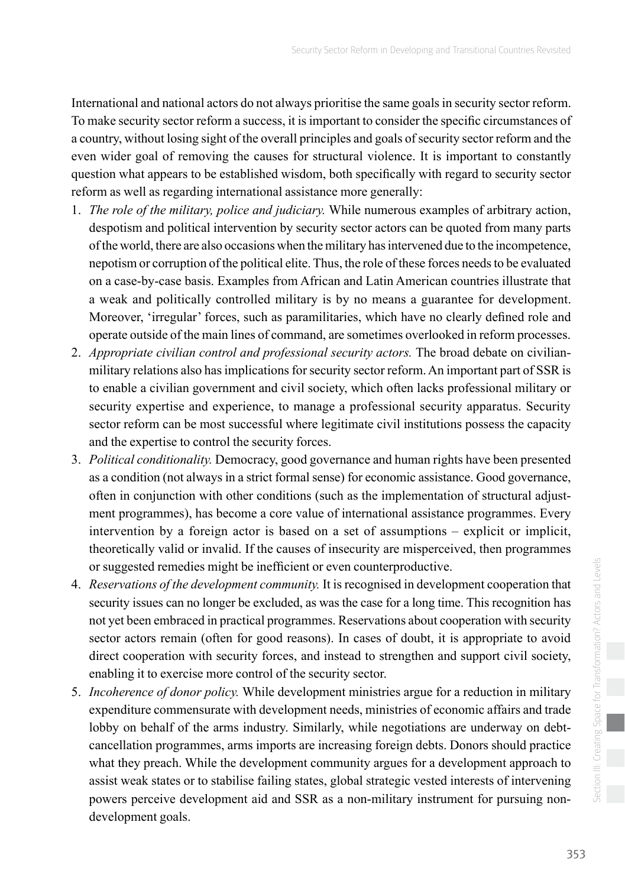International and national actors do not always prioritise the same goals in security sector reform. To make security sector reform a success, it is important to consider the specific circumstances of a country, without losing sight of the overall principles and goals of security sector reform and the even wider goal of removing the causes for structural violence. It is important to constantly question what appears to be established wisdom, both specifically with regard to security sector reform as well as regarding international assistance more generally:

- 1. *The role of the military, police and judiciary.* While numerous examples of arbitrary action, despotism and political intervention by security sector actors can be quoted from many parts of the world, there are also occasions when the military has intervened due to the incompetence, nepotism or corruption of the political elite. Thus, the role of these forces needs to be evaluated on a case-by-case basis. Examples from African and Latin American countries illustrate that a weak and politically controlled military is by no means a guarantee for development. Moreover, 'irregular' forces, such as paramilitaries, which have no clearly defined role and operate outside of the main lines of command, are sometimes overlooked in reform processes.
- 2. *Appropriate civilian control and professional security actors.* The broad debate on civilianmilitary relations also has implications for security sector reform. An important part of SSR is to enable a civilian government and civil society, which often lacks professional military or security expertise and experience, to manage a professional security apparatus. Security sector reform can be most successful where legitimate civil institutions possess the capacity and the expertise to control the security forces.
- 3. *Political conditionality.* Democracy, good governance and human rights have been presented as a condition (not always in a strict formal sense) for economic assistance. Good governance, often in conjunction with other conditions (such as the implementation of structural adjustment programmes), has become a core value of international assistance programmes. Every intervention by a foreign actor is based on a set of assumptions – explicit or implicit, theoretically valid or invalid. If the causes of insecurity are misperceived, then programmes or suggested remedies might be inefficient or even counterproductive.
- 4. *Reservations of the development community.* It is recognised in development cooperation that security issues can no longer be excluded, as was the case for a long time. This recognition has not yet been embraced in practical programmes. Reservations about cooperation with security sector actors remain (often for good reasons). In cases of doubt, it is appropriate to avoid direct cooperation with security forces, and instead to strengthen and support civil society, enabling it to exercise more control of the security sector.
- 5. *Incoherence of donor policy.* While development ministries argue for a reduction in military expenditure commensurate with development needs, ministries of economic affairs and trade lobby on behalf of the arms industry. Similarly, while negotiations are underway on debtcancellation programmes, arms imports are increasing foreign debts. Donors should practice what they preach. While the development community argues for a development approach to assist weak states or to stabilise failing states, global strategic vested interests of intervening powers perceive development aid and SSR as a non-military instrument for pursuing nondevelopment goals.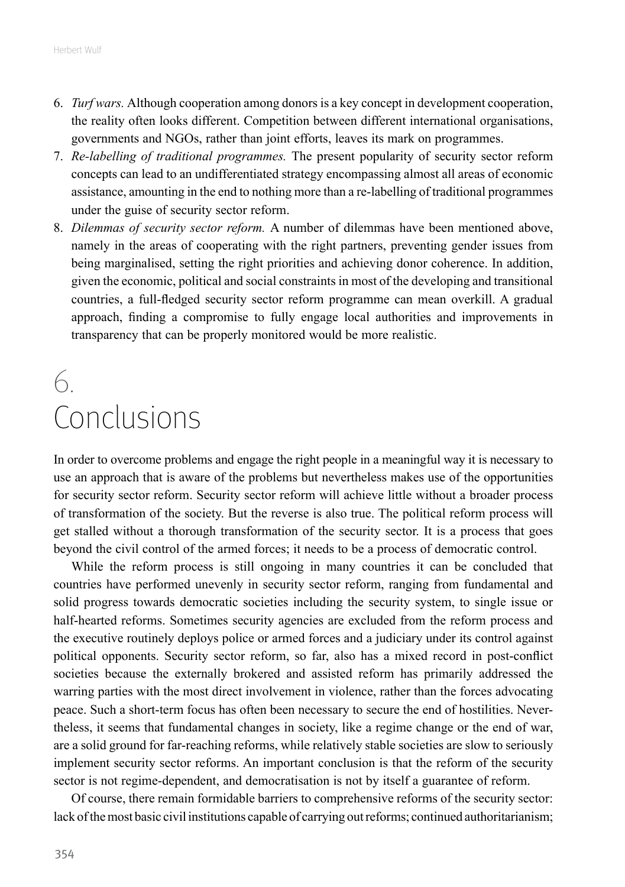- <span id="page-17-0"></span>6. *Turf wars.* Although cooperation among donors is a key concept in development cooperation, the reality often looks different. Competition between different international organisations, governments and NGOs, rather than joint efforts, leaves its mark on programmes.
- 7. *Re-labelling of traditional programmes.* The present popularity of security sector reform concepts can lead to an undifferentiated strategy encompassing almost all areas of economic assistance, amounting in the end to nothing more than a re-labelling of traditional programmes under the guise of security sector reform.
- 8. *Dilemmas of security sector reform.* A number of dilemmas have been mentioned above, namely in the areas of cooperating with the right partners, preventing gender issues from being marginalised, setting the right priorities and achieving donor coherence. In addition, given the economic, political and social constraints in most of the developing and transitional countries, a full-fledged security sector reform programme can mean overkill. A gradual approach, finding a compromise to fully engage local authorities and improvements in transparency that can be properly monitored would be more realistic.

# 6. Conclusions

In order to overcome problems and engage the right people in a meaningful way it is necessary to use an approach that is aware of the problems but nevertheless makes use of the opportunities for security sector reform. Security sector reform will achieve little without a broader process of transformation of the society. But the reverse is also true. The political reform process will get stalled without a thorough transformation of the security sector. It is a process that goes beyond the civil control of the armed forces; it needs to be a process of democratic control.

While the reform process is still ongoing in many countries it can be concluded that countries have performed unevenly in security sector reform, ranging from fundamental and solid progress towards democratic societies including the security system, to single issue or half-hearted reforms. Sometimes security agencies are excluded from the reform process and the executive routinely deploys police or armed forces and a judiciary under its control against political opponents. Security sector reform, so far, also has a mixed record in post-conflict societies because the externally brokered and assisted reform has primarily addressed the warring parties with the most direct involvement in violence, rather than the forces advocating peace. Such a short-term focus has often been necessary to secure the end of hostilities. Nevertheless, it seems that fundamental changes in society, like a regime change or the end of war, are a solid ground for far-reaching reforms, while relatively stable societies are slow to seriously implement security sector reforms. An important conclusion is that the reform of the security sector is not regime-dependent, and democratisation is not by itself a guarantee of reform.

Of course, there remain formidable barriers to comprehensive reforms of the security sector: lack of the most basic civil institutions capable of carrying out reforms; continued authoritarianism;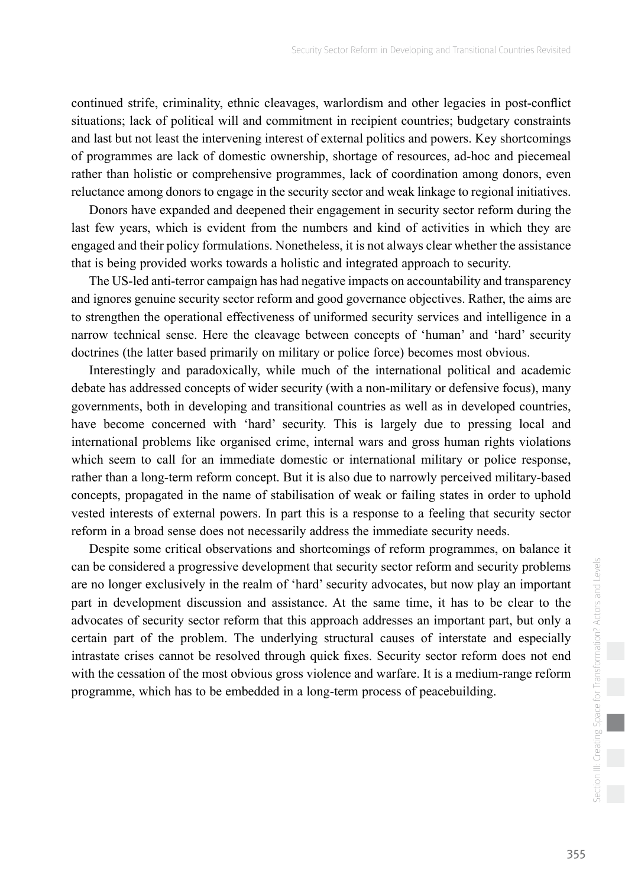continued strife, criminality, ethnic cleavages, warlordism and other legacies in post-conflict situations; lack of political will and commitment in recipient countries; budgetary constraints and last but not least the intervening interest of external politics and powers. Key shortcomings of programmes are lack of domestic ownership, shortage of resources, ad-hoc and piecemeal rather than holistic or comprehensive programmes, lack of coordination among donors, even reluctance among donors to engage in the security sector and weak linkage to regional initiatives.

Donors have expanded and deepened their engagement in security sector reform during the last few years, which is evident from the numbers and kind of activities in which they are engaged and their policy formulations. Nonetheless, it is not always clear whether the assistance that is being provided works towards a holistic and integrated approach to security.

The US-led anti-terror campaign has had negative impacts on accountability and transparency and ignores genuine security sector reform and good governance objectives. Rather, the aims are to strengthen the operational effectiveness of uniformed security services and intelligence in a narrow technical sense. Here the cleavage between concepts of 'human' and 'hard' security doctrines (the latter based primarily on military or police force) becomes most obvious.

Interestingly and paradoxically, while much of the international political and academic debate has addressed concepts of wider security (with a non-military or defensive focus), many governments, both in developing and transitional countries as well as in developed countries, have become concerned with 'hard' security. This is largely due to pressing local and international problems like organised crime, internal wars and gross human rights violations which seem to call for an immediate domestic or international military or police response, rather than a long-term reform concept. But it is also due to narrowly perceived military-based concepts, propagated in the name of stabilisation of weak or failing states in order to uphold vested interests of external powers. In part this is a response to a feeling that security sector reform in a broad sense does not necessarily address the immediate security needs.

Despite some critical observations and shortcomings of reform programmes, on balance it can be considered a progressive development that security sector reform and security problems are no longer exclusively in the realm of 'hard' security advocates, but now play an important part in development discussion and assistance. At the same time, it has to be clear to the advocates of security sector reform that this approach addresses an important part, but only a certain part of the problem. The underlying structural causes of interstate and especially intrastate crises cannot be resolved through quick fixes. Security sector reform does not end with the cessation of the most obvious gross violence and warfare. It is a medium-range reform programme, which has to be embedded in a long-term process of peacebuilding.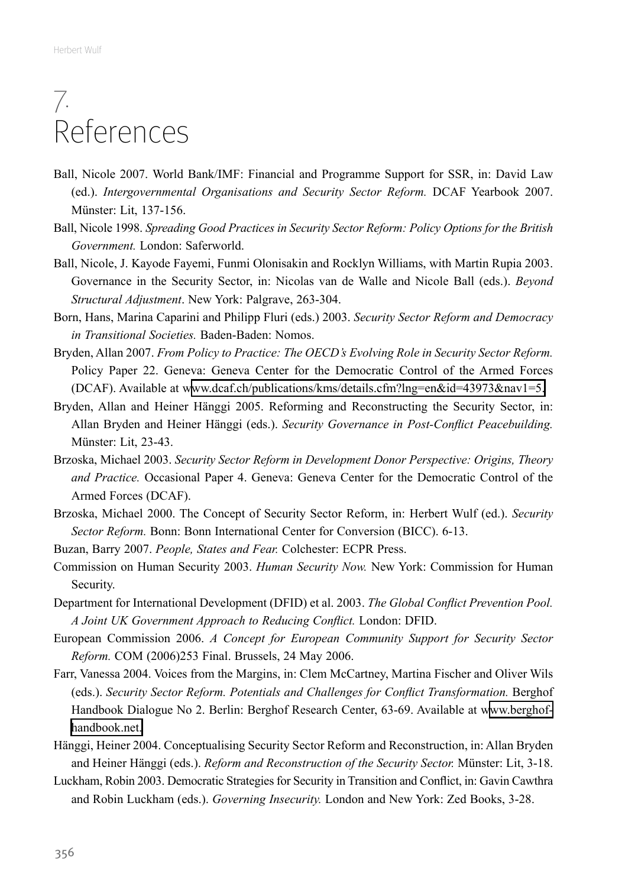### <span id="page-19-0"></span>7. References

- Ball, Nicole 2007. World Bank/IMF: Financial and Programme Support for SSR, in: David Law (ed.). *Intergovernmental Organisations and Security Sector Reform.* DCAF Yearbook 2007. Münster: Lit, 137-156.
- Ball, Nicole 1998. *Spreading Good Practices in Security Sector Reform: Policy Options for the British Government.* London: Saferworld.
- Ball, Nicole, J. Kayode Fayemi, Funmi Olonisakin and Rocklyn Williams, with Martin Rupia 2003. Governance in the Security Sector, in: Nicolas van de Walle and Nicole Ball (eds.). *Beyond Structural Adjustment*. New York: Palgrave, 263-304.
- Born, Hans, Marina Caparini and Philipp Fluri (eds.) 2003. *Security Sector Reform and Democracy in Transitional Societies.* Baden-Baden: Nomos.
- Bryden, Allan 2007. *From Policy to Practice: The OECD's Evolving Role in Security Sector Reform.* Policy Paper 22. Geneva: Geneva Center for the Democratic Control of the Armed Forces (DCAF). Available at [www.dcaf.ch/publications/kms/details.cfm?lng=en&id=43973&nav1=5.](http://www.dcaf.ch/publications/kms/details.cfm?lng=en&id=43973&nav1=5)
- Bryden, Allan and Heiner Hänggi 2005. Reforming and Reconstructing the Security Sector, in: Allan Bryden and Heiner Hänggi (eds.). *Security Governance in Post-Conflict Peacebuilding.* Münster: Lit, 23-43.
- Brzoska, Michael 2003. *Security Sector Reform in Development Donor Perspective: Origins, Theory and Practice.* Occasional Paper 4. Geneva: Geneva Center for the Democratic Control of the Armed Forces (DCAF).
- Brzoska, Michael 2000. The Concept of Security Sector Reform, in: Herbert Wulf (ed.). *Security Sector Reform.* Bonn: Bonn International Center for Conversion (BICC). 6-13.
- Buzan, Barry 2007. *People, States and Fear.* Colchester: ECPR Press.
- Commission on Human Security 2003. *Human Security Now.* New York: Commission for Human Security.
- Department for International Development (DFID) et al. 2003. *The Global Conflict Prevention Pool. A Joint UK Government Approach to Reducing Conflict.* London: DFID.
- European Commission 2006. *A Concept for European Community Support for Security Sector Reform.* COM (2006)253 Final. Brussels, 24 May 2006.
- Farr, Vanessa 2004. Voices from the Margins, in: Clem McCartney, Martina Fischer and Oliver Wils (eds.). *Security Sector Reform. Potentials and Challenges for Conflict Transformation.* Berghof Handbook Dialogue No 2. Berlin: Berghof Research Center, 63-69. Available at [www.berghof](http://www.berghof-handbook.net)[handbook.net.](http://www.berghof-handbook.net)
- Hänggi, Heiner 2004. Conceptualising Security Sector Reform and Reconstruction, in: Allan Bryden and Heiner Hänggi (eds.). *Reform and Reconstruction of the Security Sector.* Münster: Lit, 3-18.
- Luckham, Robin 2003. Democratic Strategies for Security in Transition and Conflict, in: Gavin Cawthra and Robin Luckham (eds.). *Governing Insecurity.* London and New York: Zed Books, 3-28.